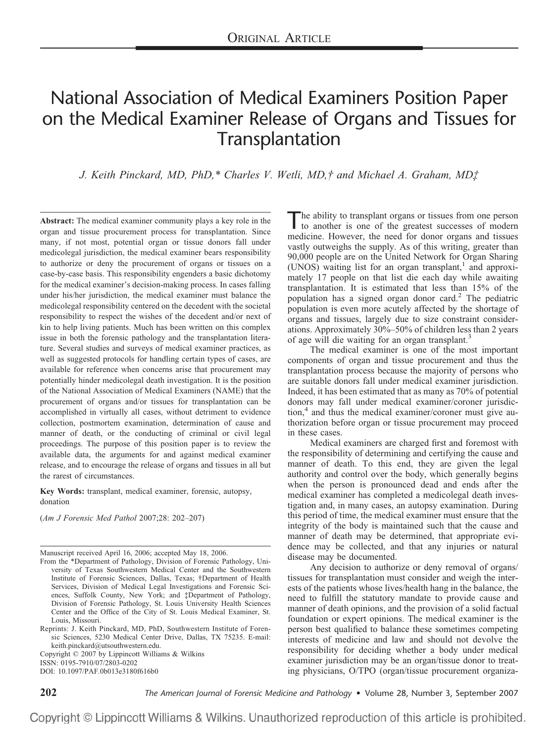# National Association of Medical Examiners Position Paper on the Medical Examiner Release of Organs and Tissues for Transplantation

*J. Keith Pinckard, MD, PhD,\* Charles V. Wetli, MD,† and Michael A. Graham, MD‡*

**Abstract:** The medical examiner community plays a key role in the organ and tissue procurement process for transplantation. Since many, if not most, potential organ or tissue donors fall under medicolegal jurisdiction, the medical examiner bears responsibility to authorize or deny the procurement of organs or tissues on a case-by-case basis. This responsibility engenders a basic dichotomy for the medical examiner's decision-making process. In cases falling under his/her jurisdiction, the medical examiner must balance the medicolegal responsibility centered on the decedent with the societal responsibility to respect the wishes of the decedent and/or next of kin to help living patients. Much has been written on this complex issue in both the forensic pathology and the transplantation literature. Several studies and surveys of medical examiner practices, as well as suggested protocols for handling certain types of cases, are available for reference when concerns arise that procurement may potentially hinder medicolegal death investigation. It is the position of the National Association of Medical Examiners (NAME) that the procurement of organs and/or tissues for transplantation can be accomplished in virtually all cases, without detriment to evidence collection, postmortem examination, determination of cause and manner of death, or the conducting of criminal or civil legal proceedings. The purpose of this position paper is to review the available data, the arguments for and against medical examiner release, and to encourage the release of organs and tissues in all but the rarest of circumstances.

**Key Words:** transplant, medical examiner, forensic, autopsy, donation

(*Am J Forensic Med Pathol* 2007;28: 202–207)

Manuscript received April 16, 2006; accepted May 18, 2006.

Copyright © 2007 by Lippincott Williams & Wilkins ISSN: 0195-7910/07/2803-0202

DOI: 10.1097/PAF.0b013e3180f616b0

The ability to transplant organs or tissues from one person to another is one of the greatest successes of modern medicine. However, the need for donor organs and tissues vastly outweighs the supply. As of this writing, greater than 90,000 people are on the United Network for Organ Sharing (UNOS) waiting list for an organ transplant, $<sup>1</sup>$  and approxi-</sup> mately 17 people on that list die each day while awaiting transplantation. It is estimated that less than 15% of the population has a signed organ donor card.<sup>2</sup> The pediatric population is even more acutely affected by the shortage of organs and tissues, largely due to size constraint considerations. Approximately 30%–50% of children less than 2 years of age will die waiting for an organ transplant.<sup>3</sup>

The medical examiner is one of the most important components of organ and tissue procurement and thus the transplantation process because the majority of persons who are suitable donors fall under medical examiner jurisdiction. Indeed, it has been estimated that as many as 70% of potential donors may fall under medical examiner/coroner jurisdiction,<sup>4</sup> and thus the medical examiner/coroner must give authorization before organ or tissue procurement may proceed in these cases.

Medical examiners are charged first and foremost with the responsibility of determining and certifying the cause and manner of death. To this end, they are given the legal authority and control over the body, which generally begins when the person is pronounced dead and ends after the medical examiner has completed a medicolegal death investigation and, in many cases, an autopsy examination. During this period of time, the medical examiner must ensure that the integrity of the body is maintained such that the cause and manner of death may be determined, that appropriate evidence may be collected, and that any injuries or natural disease may be documented.

Any decision to authorize or deny removal of organs/ tissues for transplantation must consider and weigh the interests of the patients whose lives/health hang in the balance, the need to fulfill the statutory mandate to provide cause and manner of death opinions, and the provision of a solid factual foundation or expert opinions. The medical examiner is the person best qualified to balance these sometimes competing interests of medicine and law and should not devolve the responsibility for deciding whether a body under medical examiner jurisdiction may be an organ/tissue donor to treating physicians, O/TPO (organ/tissue procurement organiza-

**202** *The American Journal of Forensic Medicine and Pathology* • Volume 28, Number 3, September 2007

Copyright © Lippincott Williams & Wilkins. Unauthorized reproduction of this article is prohibited.

From the \*Department of Pathology, Division of Forensic Pathology, University of Texas Southwestern Medical Center and the Southwestern Institute of Forensic Sciences, Dallas, Texas; †Department of Health Services, Division of Medical Legal Investigations and Forensic Sciences, Suffolk County, New York; and ‡Department of Pathology, Division of Forensic Pathology, St. Louis University Health Sciences Center and the Office of the City of St. Louis Medical Examiner, St. Louis, Missouri.

Reprints: J. Keith Pinckard, MD, PhD, Southwestern Institute of Forensic Sciences, 5230 Medical Center Drive, Dallas, TX 75235. E-mail: keith.pinckard@utsouthwestern.edu.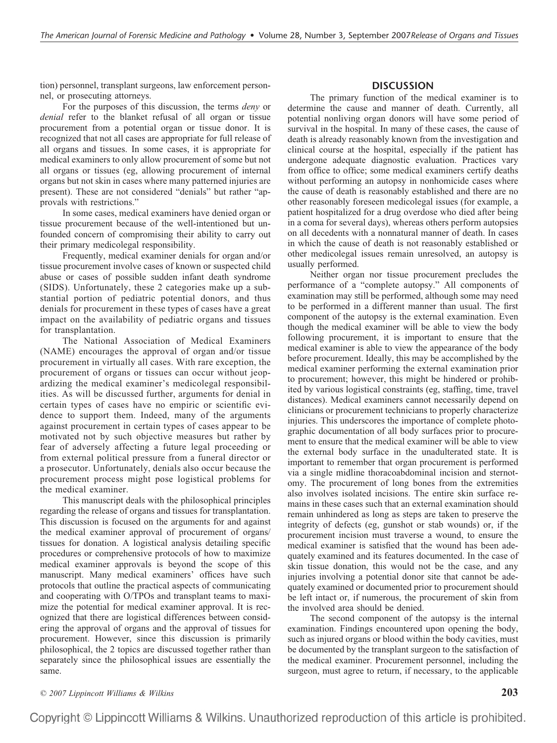tion) personnel, transplant surgeons, law enforcement personnel, or prosecuting attorneys.

For the purposes of this discussion, the terms *deny* or *denial* refer to the blanket refusal of all organ or tissue procurement from a potential organ or tissue donor. It is recognized that not all cases are appropriate for full release of all organs and tissues. In some cases, it is appropriate for medical examiners to only allow procurement of some but not all organs or tissues (eg, allowing procurement of internal organs but not skin in cases where many patterned injuries are present). These are not considered "denials" but rather "approvals with restrictions."

In some cases, medical examiners have denied organ or tissue procurement because of the well-intentioned but unfounded concern of compromising their ability to carry out their primary medicolegal responsibility.

Frequently, medical examiner denials for organ and/or tissue procurement involve cases of known or suspected child abuse or cases of possible sudden infant death syndrome (SIDS). Unfortunately, these 2 categories make up a substantial portion of pediatric potential donors, and thus denials for procurement in these types of cases have a great impact on the availability of pediatric organs and tissues for transplantation.

The National Association of Medical Examiners (NAME) encourages the approval of organ and/or tissue procurement in virtually all cases. With rare exception, the procurement of organs or tissues can occur without jeopardizing the medical examiner's medicolegal responsibilities. As will be discussed further, arguments for denial in certain types of cases have no empiric or scientific evidence to support them. Indeed, many of the arguments against procurement in certain types of cases appear to be motivated not by such objective measures but rather by fear of adversely affecting a future legal proceeding or from external political pressure from a funeral director or a prosecutor. Unfortunately, denials also occur because the procurement process might pose logistical problems for the medical examiner.

This manuscript deals with the philosophical principles regarding the release of organs and tissues for transplantation. This discussion is focused on the arguments for and against the medical examiner approval of procurement of organs/ tissues for donation. A logistical analysis detailing specific procedures or comprehensive protocols of how to maximize medical examiner approvals is beyond the scope of this manuscript. Many medical examiners' offices have such protocols that outline the practical aspects of communicating and cooperating with O/TPOs and transplant teams to maximize the potential for medical examiner approval. It is recognized that there are logistical differences between considering the approval of organs and the approval of tissues for procurement. However, since this discussion is primarily philosophical, the 2 topics are discussed together rather than separately since the philosophical issues are essentially the same.

## **DISCUSSION**

The primary function of the medical examiner is to determine the cause and manner of death. Currently, all potential nonliving organ donors will have some period of survival in the hospital. In many of these cases, the cause of death is already reasonably known from the investigation and clinical course at the hospital, especially if the patient has undergone adequate diagnostic evaluation. Practices vary from office to office; some medical examiners certify deaths without performing an autopsy in nonhomicide cases where the cause of death is reasonably established and there are no other reasonably foreseen medicolegal issues (for example, a patient hospitalized for a drug overdose who died after being in a coma for several days), whereas others perform autopsies on all decedents with a nonnatural manner of death. In cases in which the cause of death is not reasonably established or other medicolegal issues remain unresolved, an autopsy is usually performed.

Neither organ nor tissue procurement precludes the performance of a "complete autopsy." All components of examination may still be performed, although some may need to be performed in a different manner than usual. The first component of the autopsy is the external examination. Even though the medical examiner will be able to view the body following procurement, it is important to ensure that the medical examiner is able to view the appearance of the body before procurement. Ideally, this may be accomplished by the medical examiner performing the external examination prior to procurement; however, this might be hindered or prohibited by various logistical constraints (eg, staffing, time, travel distances). Medical examiners cannot necessarily depend on clinicians or procurement technicians to properly characterize injuries. This underscores the importance of complete photographic documentation of all body surfaces prior to procurement to ensure that the medical examiner will be able to view the external body surface in the unadulterated state. It is important to remember that organ procurement is performed via a single midline thoracoabdominal incision and sternotomy. The procurement of long bones from the extremities also involves isolated incisions. The entire skin surface remains in these cases such that an external examination should remain unhindered as long as steps are taken to preserve the integrity of defects (eg, gunshot or stab wounds) or, if the procurement incision must traverse a wound, to ensure the medical examiner is satisfied that the wound has been adequately examined and its features documented. In the case of skin tissue donation, this would not be the case, and any injuries involving a potential donor site that cannot be adequately examined or documented prior to procurement should be left intact or, if numerous, the procurement of skin from the involved area should be denied.

The second component of the autopsy is the internal examination. Findings encountered upon opening the body, such as injured organs or blood within the body cavities, must be documented by the transplant surgeon to the satisfaction of the medical examiner. Procurement personnel, including the surgeon, must agree to return, if necessary, to the applicable

*© 2007 Lippincott Williams & Wilkins* **203**

Copyright © Lippincott Williams & Wilkins. Unauthorized reproduction of this article is prohibited.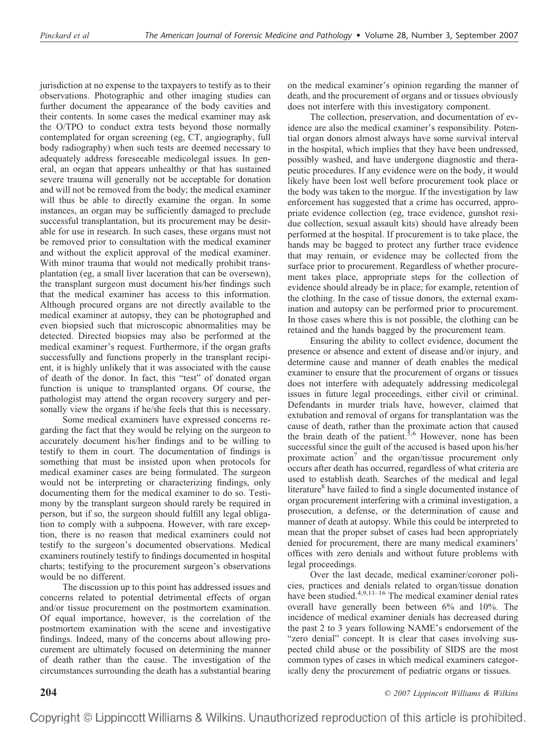jurisdiction at no expense to the taxpayers to testify as to their observations. Photographic and other imaging studies can further document the appearance of the body cavities and their contents. In some cases the medical examiner may ask the O/TPO to conduct extra tests beyond those normally contemplated for organ screening (eg, CT, angiography, full body radiography) when such tests are deemed necessary to adequately address foreseeable medicolegal issues. In general, an organ that appears unhealthy or that has sustained severe trauma will generally not be acceptable for donation and will not be removed from the body; the medical examiner will thus be able to directly examine the organ. In some instances, an organ may be sufficiently damaged to preclude successful transplantation, but its procurement may be desirable for use in research. In such cases, these organs must not be removed prior to consultation with the medical examiner and without the explicit approval of the medical examiner. With minor trauma that would not medically prohibit transplantation (eg, a small liver laceration that can be oversewn), the transplant surgeon must document his/her findings such that the medical examiner has access to this information. Although procured organs are not directly available to the medical examiner at autopsy, they can be photographed and even biopsied such that microscopic abnormalities may be detected. Directed biopsies may also be performed at the medical examiner's request. Furthermore, if the organ grafts successfully and functions properly in the transplant recipient, it is highly unlikely that it was associated with the cause of death of the donor. In fact, this "test" of donated organ function is unique to transplanted organs. Of course, the pathologist may attend the organ recovery surgery and personally view the organs if he/she feels that this is necessary.

Some medical examiners have expressed concerns regarding the fact that they would be relying on the surgeon to accurately document his/her findings and to be willing to testify to them in court. The documentation of findings is something that must be insisted upon when protocols for medical examiner cases are being formulated. The surgeon would not be interpreting or characterizing findings, only documenting them for the medical examiner to do so. Testimony by the transplant surgeon should rarely be required in person, but if so, the surgeon should fulfill any legal obligation to comply with a subpoena. However, with rare exception, there is no reason that medical examiners could not testify to the surgeon's documented observations. Medical examiners routinely testify to findings documented in hospital charts; testifying to the procurement surgeon's observations would be no different.

The discussion up to this point has addressed issues and concerns related to potential detrimental effects of organ and/or tissue procurement on the postmortem examination. Of equal importance, however, is the correlation of the postmortem examination with the scene and investigative findings. Indeed, many of the concerns about allowing procurement are ultimately focused on determining the manner of death rather than the cause. The investigation of the circumstances surrounding the death has a substantial bearing on the medical examiner's opinion regarding the manner of death, and the procurement of organs and or tissues obviously does not interfere with this investigatory component.

The collection, preservation, and documentation of evidence are also the medical examiner's responsibility. Potential organ donors almost always have some survival interval in the hospital, which implies that they have been undressed, possibly washed, and have undergone diagnostic and therapeutic procedures. If any evidence were on the body, it would likely have been lost well before procurement took place or the body was taken to the morgue. If the investigation by law enforcement has suggested that a crime has occurred, appropriate evidence collection (eg, trace evidence, gunshot residue collection, sexual assault kits) should have already been performed at the hospital. If procurement is to take place, the hands may be bagged to protect any further trace evidence that may remain, or evidence may be collected from the surface prior to procurement. Regardless of whether procurement takes place, appropriate steps for the collection of evidence should already be in place; for example, retention of the clothing. In the case of tissue donors, the external examination and autopsy can be performed prior to procurement. In those cases where this is not possible, the clothing can be retained and the hands bagged by the procurement team.

Ensuring the ability to collect evidence, document the presence or absence and extent of disease and/or injury, and determine cause and manner of death enables the medical examiner to ensure that the procurement of organs or tissues does not interfere with adequately addressing medicolegal issues in future legal proceedings, either civil or criminal. Defendants in murder trials have, however, claimed that extubation and removal of organs for transplantation was the cause of death, rather than the proximate action that caused the brain death of the patient.<sup>5,6</sup> However, none has been successful since the guilt of the accused is based upon his/her proximate action<sup>7</sup> and the organ/tissue procurement only occurs after death has occurred, regardless of what criteria are used to establish death. Searches of the medical and legal literature<sup>8</sup> have failed to find a single documented instance of organ procurement interfering with a criminal investigation, a prosecution, a defense, or the determination of cause and manner of death at autopsy. While this could be interpreted to mean that the proper subset of cases had been appropriately denied for procurement, there are many medical examiners' offices with zero denials and without future problems with legal proceedings.

Over the last decade, medical examiner/coroner policies, practices and denials related to organ/tissue donation have been studied.<sup>4,9,11–16</sup> The medical examiner denial rates overall have generally been between 6% and 10%. The incidence of medical examiner denials has decreased during the past 2 to 3 years following NAME's endorsement of the "zero denial" concept. It is clear that cases involving suspected child abuse or the possibility of SIDS are the most common types of cases in which medical examiners categorically deny the procurement of pediatric organs or tissues.

**204** *© 2007 Lippincott Williams & Wilkins*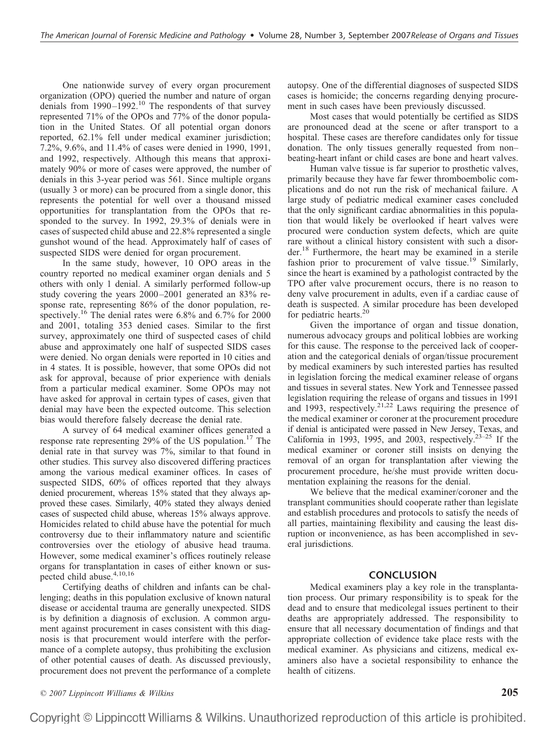One nationwide survey of every organ procurement organization (OPO) queried the number and nature of organ denials from  $1990-1992$ .<sup>10</sup> The respondents of that survey represented 71% of the OPOs and 77% of the donor population in the United States. Of all potential organ donors reported, 62.1% fell under medical examiner jurisdiction; 7.2%, 9.6%, and 11.4% of cases were denied in 1990, 1991, and 1992, respectively. Although this means that approximately 90% or more of cases were approved, the number of denials in this 3-year period was 561. Since multiple organs (usually 3 or more) can be procured from a single donor, this represents the potential for well over a thousand missed opportunities for transplantation from the OPOs that responded to the survey. In 1992, 29.3% of denials were in cases of suspected child abuse and 22.8% represented a single gunshot wound of the head. Approximately half of cases of suspected SIDS were denied for organ procurement.

In the same study, however, 10 OPO areas in the country reported no medical examiner organ denials and 5 others with only 1 denial. A similarly performed follow-up study covering the years 2000–2001 generated an 83% response rate, representing 86% of the donor population, respectively.16 The denial rates were 6.8% and 6.7% for 2000 and 2001, totaling 353 denied cases. Similar to the first survey, approximately one third of suspected cases of child abuse and approximately one half of suspected SIDS cases were denied. No organ denials were reported in 10 cities and in 4 states. It is possible, however, that some OPOs did not ask for approval, because of prior experience with denials from a particular medical examiner. Some OPOs may not have asked for approval in certain types of cases, given that denial may have been the expected outcome. This selection bias would therefore falsely decrease the denial rate.

A survey of 64 medical examiner offices generated a response rate representing 29% of the US population.<sup>17</sup> The denial rate in that survey was 7%, similar to that found in other studies. This survey also discovered differing practices among the various medical examiner offices. In cases of suspected SIDS, 60% of offices reported that they always denied procurement, whereas 15% stated that they always approved these cases. Similarly, 40% stated they always denied cases of suspected child abuse, whereas 15% always approve. Homicides related to child abuse have the potential for much controversy due to their inflammatory nature and scientific controversies over the etiology of abusive head trauma. However, some medical examiner's offices routinely release organs for transplantation in cases of either known or suspected child abuse.<sup>4,10,16</sup>

Certifying deaths of children and infants can be challenging; deaths in this population exclusive of known natural disease or accidental trauma are generally unexpected. SIDS is by definition a diagnosis of exclusion. A common argument against procurement in cases consistent with this diagnosis is that procurement would interfere with the performance of a complete autopsy, thus prohibiting the exclusion of other potential causes of death. As discussed previously, procurement does not prevent the performance of a complete

autopsy. One of the differential diagnoses of suspected SIDS cases is homicide; the concerns regarding denying procurement in such cases have been previously discussed.

Most cases that would potentially be certified as SIDS are pronounced dead at the scene or after transport to a hospital. These cases are therefore candidates only for tissue donation. The only tissues generally requested from non– beating-heart infant or child cases are bone and heart valves.

Human valve tissue is far superior to prosthetic valves, primarily because they have far fewer thromboembolic complications and do not run the risk of mechanical failure. A large study of pediatric medical examiner cases concluded that the only significant cardiac abnormalities in this population that would likely be overlooked if heart valves were procured were conduction system defects, which are quite rare without a clinical history consistent with such a disorder.18 Furthermore, the heart may be examined in a sterile fashion prior to procurement of valve tissue.<sup>19</sup> Similarly, since the heart is examined by a pathologist contracted by the TPO after valve procurement occurs, there is no reason to deny valve procurement in adults, even if a cardiac cause of death is suspected. A similar procedure has been developed for pediatric hearts.<sup>20</sup>

Given the importance of organ and tissue donation, numerous advocacy groups and political lobbies are working for this cause. The response to the perceived lack of cooperation and the categorical denials of organ/tissue procurement by medical examiners by such interested parties has resulted in legislation forcing the medical examiner release of organs and tissues in several states. New York and Tennessee passed legislation requiring the release of organs and tissues in 1991 and 1993, respectively.<sup>21,22</sup> Laws requiring the presence of the medical examiner or coroner at the procurement procedure if denial is anticipated were passed in New Jersey, Texas, and California in 1993, 1995, and 2003, respectively.<sup>23-25</sup> If the medical examiner or coroner still insists on denying the removal of an organ for transplantation after viewing the procurement procedure, he/she must provide written documentation explaining the reasons for the denial.

We believe that the medical examiner/coroner and the transplant communities should cooperate rather than legislate and establish procedures and protocols to satisfy the needs of all parties, maintaining flexibility and causing the least disruption or inconvenience, as has been accomplished in several jurisdictions.

## **CONCLUSION**

Medical examiners play a key role in the transplantation process. Our primary responsibility is to speak for the dead and to ensure that medicolegal issues pertinent to their deaths are appropriately addressed. The responsibility to ensure that all necessary documentation of findings and that appropriate collection of evidence take place rests with the medical examiner. As physicians and citizens, medical examiners also have a societal responsibility to enhance the health of citizens.

*© 2007 Lippincott Williams & Wilkins* **205**

Copyright © Lippincott Williams & Wilkins. Unauthorized reproduction of this article is prohibited.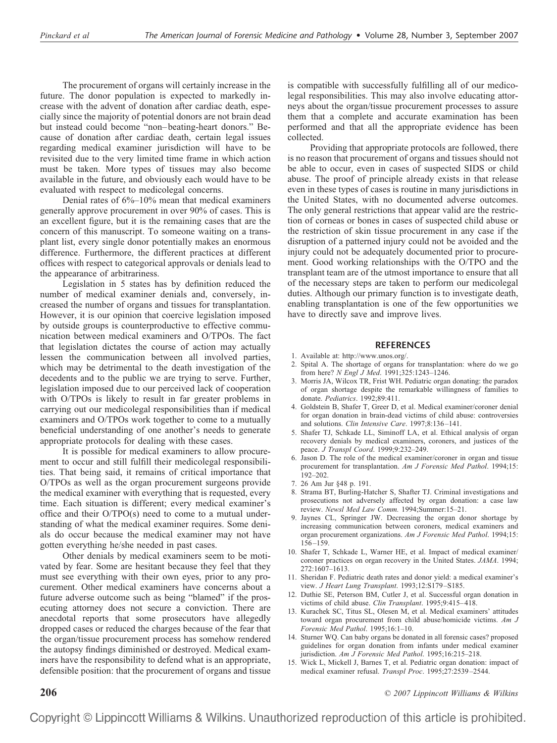The procurement of organs will certainly increase in the future. The donor population is expected to markedly increase with the advent of donation after cardiac death, especially since the majority of potential donors are not brain dead but instead could become "non–beating-heart donors." Because of donation after cardiac death, certain legal issues regarding medical examiner jurisdiction will have to be revisited due to the very limited time frame in which action must be taken. More types of tissues may also become available in the future, and obviously each would have to be evaluated with respect to medicolegal concerns.

Denial rates of 6%–10% mean that medical examiners generally approve procurement in over 90% of cases. This is an excellent figure, but it is the remaining cases that are the concern of this manuscript. To someone waiting on a transplant list, every single donor potentially makes an enormous difference. Furthermore, the different practices at different offices with respect to categorical approvals or denials lead to the appearance of arbitrariness.

Legislation in 5 states has by definition reduced the number of medical examiner denials and, conversely, increased the number of organs and tissues for transplantation. However, it is our opinion that coercive legislation imposed by outside groups is counterproductive to effective communication between medical examiners and O/TPOs. The fact that legislation dictates the course of action may actually lessen the communication between all involved parties, which may be detrimental to the death investigation of the decedents and to the public we are trying to serve. Further, legislation imposed due to our perceived lack of cooperation with O/TPOs is likely to result in far greater problems in carrying out our medicolegal responsibilities than if medical examiners and O/TPOs work together to come to a mutually beneficial understanding of one another's needs to generate appropriate protocols for dealing with these cases.

It is possible for medical examiners to allow procurement to occur and still fulfill their medicolegal responsibilities. That being said, it remains of critical importance that O/TPOs as well as the organ procurement surgeons provide the medical examiner with everything that is requested, every time. Each situation is different; every medical examiner's office and their O/TPO(s) need to come to a mutual understanding of what the medical examiner requires. Some denials do occur because the medical examiner may not have gotten everything he/she needed in past cases.

Other denials by medical examiners seem to be motivated by fear. Some are hesitant because they feel that they must see everything with their own eyes, prior to any procurement. Other medical examiners have concerns about a future adverse outcome such as being "blamed" if the prosecuting attorney does not secure a conviction. There are anecdotal reports that some prosecutors have allegedly dropped cases or reduced the charges because of the fear that the organ/tissue procurement process has somehow rendered the autopsy findings diminished or destroyed. Medical examiners have the responsibility to defend what is an appropriate, defensible position: that the procurement of organs and tissue

is compatible with successfully fulfilling all of our medicolegal responsibilities. This may also involve educating attorneys about the organ/tissue procurement processes to assure them that a complete and accurate examination has been performed and that all the appropriate evidence has been collected.

Providing that appropriate protocols are followed, there is no reason that procurement of organs and tissues should not be able to occur, even in cases of suspected SIDS or child abuse. The proof of principle already exists in that release even in these types of cases is routine in many jurisdictions in the United States, with no documented adverse outcomes. The only general restrictions that appear valid are the restriction of corneas or bones in cases of suspected child abuse or the restriction of skin tissue procurement in any case if the disruption of a patterned injury could not be avoided and the injury could not be adequately documented prior to procurement. Good working relationships with the O/TPO and the transplant team are of the utmost importance to ensure that all of the necessary steps are taken to perform our medicolegal duties. Although our primary function is to investigate death, enabling transplantation is one of the few opportunities we have to directly save and improve lives.

#### **REFERENCES**

- 1. Available at: http://www.unos.org/.
- 2. Spital A. The shortage of organs for transplantation: where do we go from here? *N Engl J Med*. 1991;325:1243–1246.
- 3. Morris JA, Wilcox TR, Frist WH. Pediatric organ donating: the paradox of organ shortage despite the remarkable willingness of families to donate. *Pediatrics*. 1992;89:411.
- 4. Goldstein B, Shafer T, Greer D, et al. Medical examiner/coroner denial for organ donation in brain-dead victims of child abuse: controversies and solutions. *Clin Intensive Care*. 1997;8:136–141.
- 5. Shafer TJ, Schkade LL, Siminoff LA, et al. Ethical analysis of organ recovery denials by medical examiners, coroners, and justices of the peace. *J Transpl Coord*. 1999;9:232–249.
- 6. Jason D. The role of the medical examiner/coroner in organ and tissue procurement for transplantation. *Am J Forensic Med Pathol*. 1994;15: 192–202.
- 7. 26 Am Jur §48 p. 191.
- 8. Strama BT, Burling-Hatcher S, Shafter TJ. Criminal investigations and prosecutions not adversely affected by organ donation: a case law review. *Newsl Med Law Comm.* 1994;Summer:15–21.
- 9. Jaynes CL, Springer JW. Decreasing the organ donor shortage by increasing communication between coroners, medical examiners and organ procurement organizations. *Am J Forensic Med Pathol*. 1994;15: 156–159.
- 10. Shafer T, Schkade L, Warner HE, et al. Impact of medical examiner/ coroner practices on organ recovery in the United States. *JAMA*. 1994; 272:1607–1613.
- 11. Sheridan F. Pediatric death rates and donor yield: a medical examiner's view. *J Heart Lung Transplant*. 1993;12:S179–S185.
- 12. Duthie SE, Peterson BM, Cutler J, et al. Successful organ donation in victims of child abuse. *Clin Transplant*. 1995;9:415–418.
- 13. Kurachek SC, Titus SL, Olesen M, et al. Medical examiners' attitudes toward organ procurement from child abuse/homicide victims. *Am J Forensic Med Pathol*. 1995;16:1–10.
- 14. Sturner WQ. Can baby organs be donated in all forensic cases? proposed guidelines for organ donation from infants under medical examiner jurisdiction. *Am J Forensic Med Pathol*. 1995;16:215–218.
- 15. Wick L, Mickell J, Barnes T, et al. Pediatric organ donation: impact of medical examiner refusal. *Transpl Proc*. 1995;27:2539–2544.

**206** *© 2007 Lippincott Williams & Wilkins*